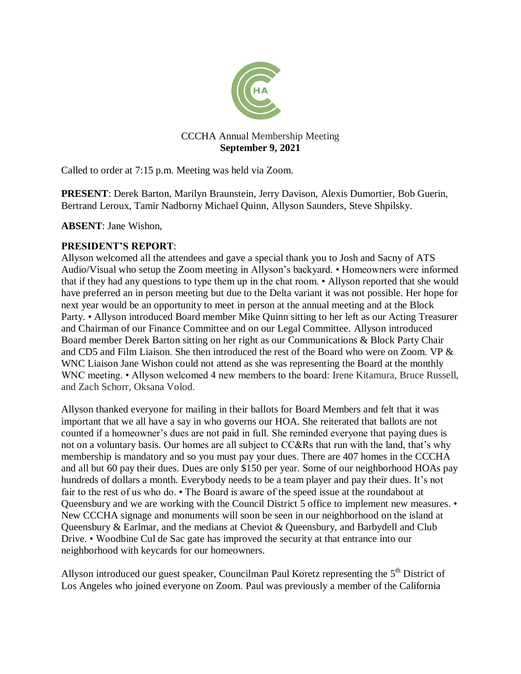

## CCCHA Annual Membership Meeting **September 9, 2021**

Called to order at 7:15 p.m. Meeting was held via Zoom.

**PRESENT**: Derek Barton, Marilyn Braunstein, Jerry Davison, Alexis Dumortier, Bob Guerin, Bertrand Leroux, Tamir Nadborny Michael Quinn, Allyson Saunders, Steve Shpilsky.

**ABSENT**: Jane Wishon,

# **PRESIDENT'S REPORT**:

Allyson welcomed all the attendees and gave a special thank you to Josh and Sacny of ATS Audio/Visual who setup the Zoom meeting in Allyson's backyard. • Homeowners were informed that if they had any questions to type them up in the chat room. • Allyson reported that she would have preferred an in person meeting but due to the Delta variant it was not possible. Her hope for next year would be an opportunity to meet in person at the annual meeting and at the Block Party. • Allyson introduced Board member Mike Quinn sitting to her left as our Acting Treasurer and Chairman of our Finance Committee and on our Legal Committee. Allyson introduced Board member Derek Barton sitting on her right as our Communications & Block Party Chair and CD5 and Film Liaison. She then introduced the rest of the Board who were on Zoom. VP & WNC Liaison Jane Wishon could not attend as she was representing the Board at the monthly WNC meeting. • Allyson welcomed 4 new members to the board: Irene Kitamura, Bruce Russell, and Zach Schorr, Oksana Volod.

Allyson thanked everyone for mailing in their ballots for Board Members and felt that it was important that we all have a say in who governs our HOA. She reiterated that ballots are not counted if a homeowner's dues are not paid in full. She reminded everyone that paying dues is not on a voluntary basis. Our homes are all subject to CC&Rs that run with the land, that's why membership is mandatory and so you must pay your dues. There are 407 homes in the CCCHA and all but 60 pay their dues. Dues are only \$150 per year. Some of our neighborhood HOAs pay hundreds of dollars a month. Everybody needs to be a team player and pay their dues. It's not fair to the rest of us who do. • The Board is aware of the speed issue at the roundabout at Queensbury and we are working with the Council District 5 office to implement new measures.  $\bullet$ New CCCHA signage and monuments will soon be seen in our neighborhood on the island at Queensbury & Earlmar, and the medians at Cheviot & Queensbury, and Barbydell and Club Drive. • Woodbine Cul de Sac gate has improved the security at that entrance into our neighborhood with keycards for our homeowners.

Allyson introduced our guest speaker, Councilman Paul Koretz representing the 5<sup>th</sup> District of Los Angeles who joined everyone on Zoom. Paul was previously a member of the California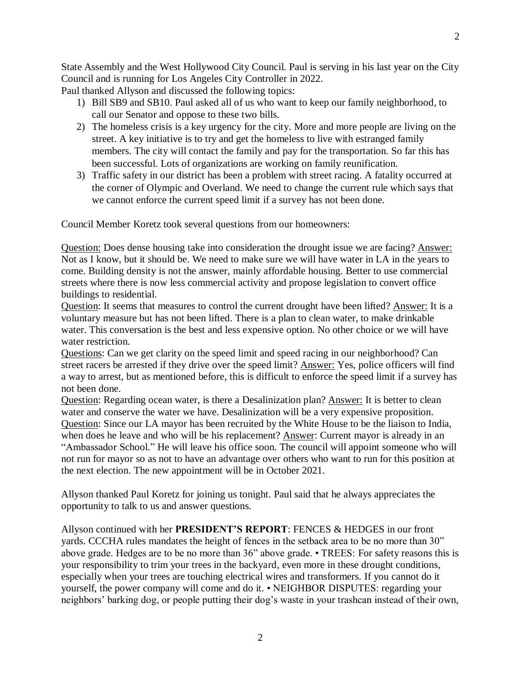State Assembly and the West Hollywood City Council. Paul is serving in his last year on the City Council and is running for Los Angeles City Controller in 2022.

Paul thanked Allyson and discussed the following topics:

- 1) Bill SB9 and SB10. Paul asked all of us who want to keep our family neighborhood, to call our Senator and oppose to these two bills.
- 2) The homeless crisis is a key urgency for the city. More and more people are living on the street. A key initiative is to try and get the homeless to live with estranged family members. The city will contact the family and pay for the transportation. So far this has been successful. Lots of organizations are working on family reunification.
- 3) Traffic safety in our district has been a problem with street racing. A fatality occurred at the corner of Olympic and Overland. We need to change the current rule which says that we cannot enforce the current speed limit if a survey has not been done.

Council Member Koretz took several questions from our homeowners:

Question: Does dense housing take into consideration the drought issue we are facing? Answer: Not as I know, but it should be. We need to make sure we will have water in LA in the years to come. Building density is not the answer, mainly affordable housing. Better to use commercial streets where there is now less commercial activity and propose legislation to convert office buildings to residential.

Question: It seems that measures to control the current drought have been lifted? Answer: It is a voluntary measure but has not been lifted. There is a plan to clean water, to make drinkable water. This conversation is the best and less expensive option. No other choice or we will have water restriction.

Questions: Can we get clarity on the speed limit and speed racing in our neighborhood? Can street racers be arrested if they drive over the speed limit? Answer: Yes, police officers will find a way to arrest, but as mentioned before, this is difficult to enforce the speed limit if a survey has not been done.

Question: Regarding ocean water, is there a Desalinization plan? Answer: It is better to clean water and conserve the water we have. Desalinization will be a very expensive proposition. Question: Since our LA mayor has been recruited by the White House to be the liaison to India, when does he leave and who will be his replacement? Answer: Current mayor is already in an "Ambassador School." He will leave his office soon. The council will appoint someone who will not run for mayor so as not to have an advantage over others who want to run for this position at the next election. The new appointment will be in October 2021.

Allyson thanked Paul Koretz for joining us tonight. Paul said that he always appreciates the opportunity to talk to us and answer questions.

Allyson continued with her **PRESIDENT'S REPORT**: FENCES & HEDGES in our front yards. CCCHA rules mandates the height of fences in the setback area to be no more than 30" above grade. Hedges are to be no more than 36" above grade. • TREES: For safety reasons this is your responsibility to trim your trees in the backyard, even more in these drought conditions, especially when your trees are touching electrical wires and transformers. If you cannot do it yourself, the power company will come and do it. • NEIGHBOR DISPUTES: regarding your neighbors' barking dog, or people putting their dog's waste in your trashcan instead of their own,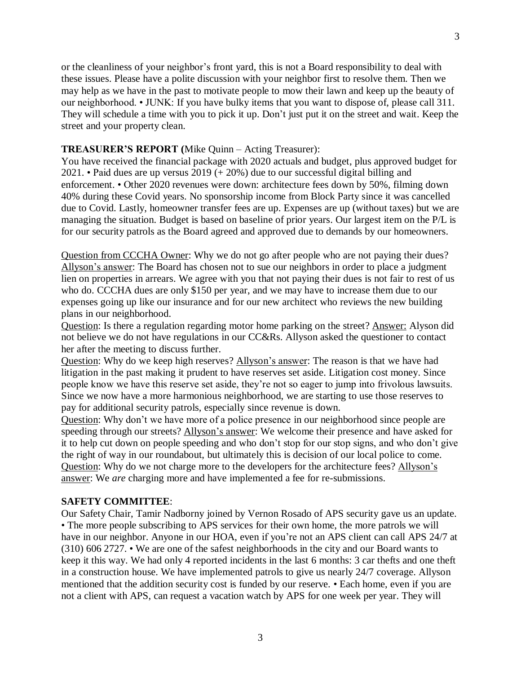or the cleanliness of your neighbor's front yard, this is not a Board responsibility to deal with these issues. Please have a polite discussion with your neighbor first to resolve them. Then we may help as we have in the past to motivate people to mow their lawn and keep up the beauty of our neighborhood. • JUNK: If you have bulky items that you want to dispose of, please call 311. They will schedule a time with you to pick it up. Don't just put it on the street and wait. Keep the street and your property clean.

### **TREASURER'S REPORT (**Mike Quinn – Acting Treasurer):

You have received the financial package with 2020 actuals and budget, plus approved budget for 2021. • Paid dues are up versus 2019 (+ 20%) due to our successful digital billing and enforcement. • Other 2020 revenues were down: architecture fees down by 50%, filming down 40% during these Covid years. No sponsorship income from Block Party since it was cancelled due to Covid. Lastly, homeowner transfer fees are up. Expenses are up (without taxes) but we are managing the situation. Budget is based on baseline of prior years. Our largest item on the P/L is for our security patrols as the Board agreed and approved due to demands by our homeowners.

Question from CCCHA Owner: Why we do not go after people who are not paying their dues? Allyson's answer: The Board has chosen not to sue our neighbors in order to place a judgment lien on properties in arrears. We agree with you that not paying their dues is not fair to rest of us who do. CCCHA dues are only \$150 per year, and we may have to increase them due to our expenses going up like our insurance and for our new architect who reviews the new building plans in our neighborhood.

Question: Is there a regulation regarding motor home parking on the street? Answer: Alyson did not believe we do not have regulations in our CC&Rs. Allyson asked the questioner to contact her after the meeting to discuss further.

Question: Why do we keep high reserves? Allyson's answer: The reason is that we have had litigation in the past making it prudent to have reserves set aside. Litigation cost money. Since people know we have this reserve set aside, they're not so eager to jump into frivolous lawsuits. Since we now have a more harmonious neighborhood, we are starting to use those reserves to pay for additional security patrols, especially since revenue is down.

Question: Why don't we have more of a police presence in our neighborhood since people are speeding through our streets? Allyson's answer: We welcome their presence and have asked for it to help cut down on people speeding and who don't stop for our stop signs, and who don't give the right of way in our roundabout, but ultimately this is decision of our local police to come. Question: Why do we not charge more to the developers for the architecture fees? Allyson's answer: We *are* charging more and have implemented a fee for re-submissions.

## **SAFETY COMMITTEE**:

Our Safety Chair, Tamir Nadborny joined by Vernon Rosado of APS security gave us an update. • The more people subscribing to APS services for their own home, the more patrols we will have in our neighbor. Anyone in our HOA, even if you're not an APS client can call APS 24/7 at (310) 606 2727. • We are one of the safest neighborhoods in the city and our Board wants to keep it this way. We had only 4 reported incidents in the last 6 months: 3 car thefts and one theft in a construction house. We have implemented patrols to give us nearly 24/7 coverage. Allyson mentioned that the addition security cost is funded by our reserve. • Each home, even if you are not a client with APS, can request a vacation watch by APS for one week per year. They will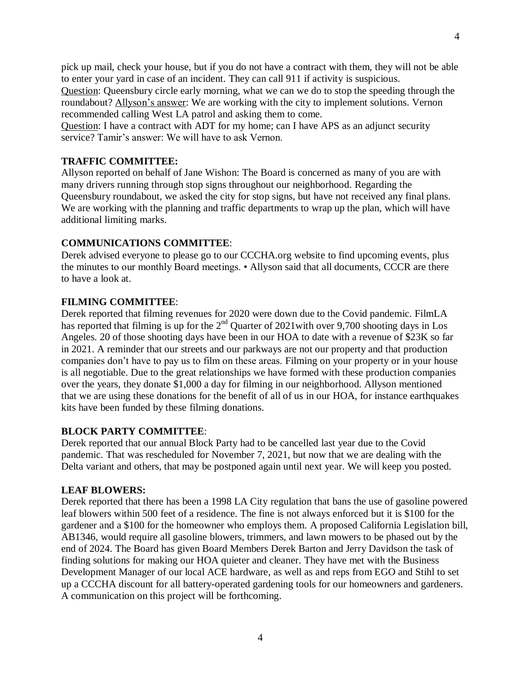pick up mail, check your house, but if you do not have a contract with them, they will not be able to enter your yard in case of an incident. They can call 911 if activity is suspicious.

Question: Queensbury circle early morning, what we can we do to stop the speeding through the roundabout? Allyson's answer: We are working with the city to implement solutions. Vernon recommended calling West LA patrol and asking them to come.

Question: I have a contract with ADT for my home; can I have APS as an adjunct security service? Tamir's answer: We will have to ask Vernon.

## **TRAFFIC COMMITTEE:**

Allyson reported on behalf of Jane Wishon: The Board is concerned as many of you are with many drivers running through stop signs throughout our neighborhood. Regarding the Queensbury roundabout, we asked the city for stop signs, but have not received any final plans. We are working with the planning and traffic departments to wrap up the plan, which will have additional limiting marks.

### **COMMUNICATIONS COMMITTEE**:

Derek advised everyone to please go to our CCCHA.org website to find upcoming events, plus the minutes to our monthly Board meetings. • Allyson said that all documents, CCCR are there to have a look at.

#### **FILMING COMMITTEE**:

Derek reported that filming revenues for 2020 were down due to the Covid pandemic. FilmLA has reported that filming is up for the  $2<sup>nd</sup>$  Quarter of 2021with over 9,700 shooting days in Los Angeles. 20 of those shooting days have been in our HOA to date with a revenue of \$23K so far in 2021. A reminder that our streets and our parkways are not our property and that production companies don't have to pay us to film on these areas. Filming on your property or in your house is all negotiable. Due to the great relationships we have formed with these production companies over the years, they donate \$1,000 a day for filming in our neighborhood. Allyson mentioned that we are using these donations for the benefit of all of us in our HOA, for instance earthquakes kits have been funded by these filming donations.

### **BLOCK PARTY COMMITTEE**:

Derek reported that our annual Block Party had to be cancelled last year due to the Covid pandemic. That was rescheduled for November 7, 2021, but now that we are dealing with the Delta variant and others, that may be postponed again until next year. We will keep you posted.

#### **LEAF BLOWERS:**

Derek reported that there has been a 1998 LA City regulation that bans the use of gasoline powered leaf blowers within 500 feet of a residence. The fine is not always enforced but it is \$100 for the gardener and a \$100 for the homeowner who employs them. A proposed California Legislation bill, AB1346, would require all gasoline blowers, trimmers, and lawn mowers to be phased out by the end of 2024. The Board has given Board Members Derek Barton and Jerry Davidson the task of finding solutions for making our HOA quieter and cleaner. They have met with the Business Development Manager of our local ACE hardware, as well as and reps from EGO and Stihl to set up a CCCHA discount for all battery-operated gardening tools for our homeowners and gardeners. A communication on this project will be forthcoming.